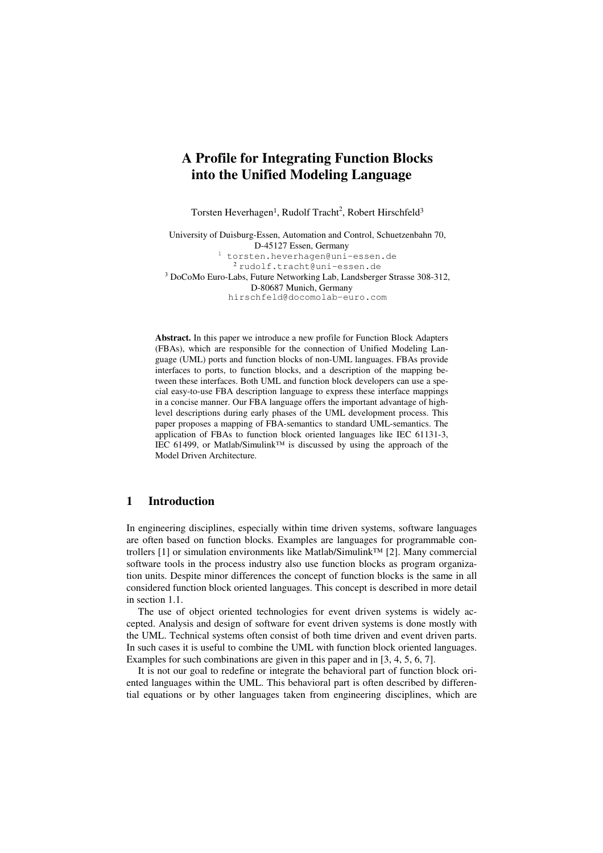# **A Profile for Integrating Function Blocks into the Unified Modeling Language**

Torsten Heverhagen<sup>1</sup>, Rudolf Tracht<sup>2</sup>, Robert Hirschfeld<sup>3</sup>

University of Duisburg-Essen, Automation and Control, Schuetzenbahn 70, D-45127 Essen, Germany <sup>1</sup> torsten.heverhagen@uni-essen.de <sup>2</sup> rudolf.tracht@uni-essen.de <sup>3</sup> DoCoMo Euro-Labs, Future Networking Lab, Landsberger Strasse 308-312, D-80687 Munich, Germany hirschfeld@docomolab-euro.com

**Abstract.** In this paper we introduce a new profile for Function Block Adapters (FBAs), which are responsible for the connection of Unified Modeling Language (UML) ports and function blocks of non-UML languages. FBAs provide interfaces to ports, to function blocks, and a description of the mapping between these interfaces. Both UML and function block developers can use a special easy-to-use FBA description language to express these interface mappings in a concise manner. Our FBA language offers the important advantage of highlevel descriptions during early phases of the UML development process. This paper proposes a mapping of FBA-semantics to standard UML-semantics. The application of FBAs to function block oriented languages like IEC 61131-3, IEC 61499, or Matlab/Simulink™ is discussed by using the approach of the Model Driven Architecture.

# **1 Introduction**

In engineering disciplines, especially within time driven systems, software languages are often based on function blocks. Examples are languages for programmable controllers [1] or simulation environments like Matlab/Simulink™ [2]. Many commercial software tools in the process industry also use function blocks as program organization units. Despite minor differences the concept of function blocks is the same in all considered function block oriented languages. This concept is described in more detail in section 1.1.

The use of object oriented technologies for event driven systems is widely accepted. Analysis and design of software for event driven systems is done mostly with the UML. Technical systems often consist of both time driven and event driven parts. In such cases it is useful to combine the UML with function block oriented languages. Examples for such combinations are given in this paper and in [3, 4, 5, 6, 7].

It is not our goal to redefine or integrate the behavioral part of function block oriented languages within the UML. This behavioral part is often described by differential equations or by other languages taken from engineering disciplines, which are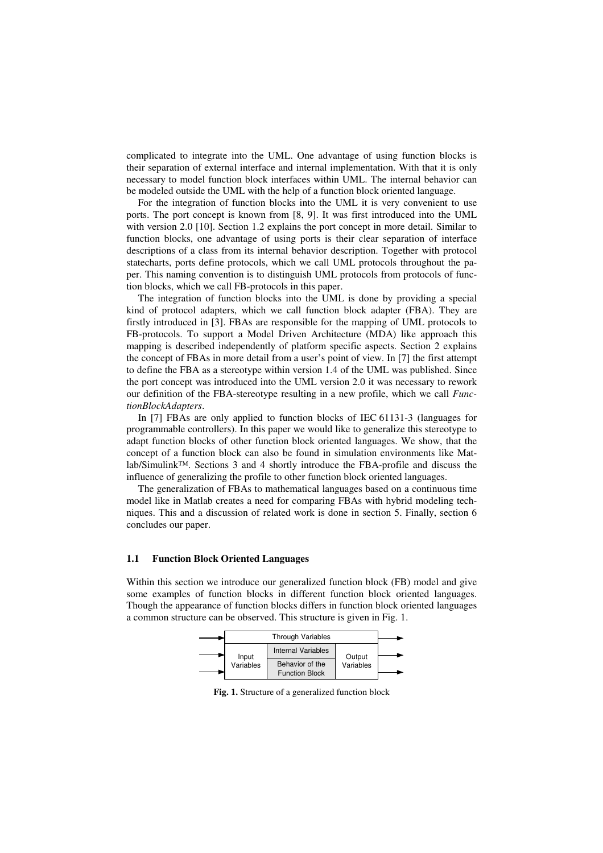complicated to integrate into the UML. One advantage of using function blocks is their separation of external interface and internal implementation. With that it is only necessary to model function block interfaces within UML. The internal behavior can be modeled outside the UML with the help of a function block oriented language.

For the integration of function blocks into the UML it is very convenient to use ports. The port concept is known from [8, 9]. It was first introduced into the UML with version 2.0 [10]. Section 1.2 explains the port concept in more detail. Similar to function blocks, one advantage of using ports is their clear separation of interface descriptions of a class from its internal behavior description. Together with protocol statecharts, ports define protocols, which we call UML protocols throughout the paper. This naming convention is to distinguish UML protocols from protocols of function blocks, which we call FB-protocols in this paper.

The integration of function blocks into the UML is done by providing a special kind of protocol adapters, which we call function block adapter (FBA). They are firstly introduced in [3]. FBAs are responsible for the mapping of UML protocols to FB-protocols. To support a Model Driven Architecture (MDA) like approach this mapping is described independently of platform specific aspects. Section 2 explains the concept of FBAs in more detail from a user's point of view. In [7] the first attempt to define the FBA as a stereotype within version 1.4 of the UML was published. Since the port concept was introduced into the UML version 2.0 it was necessary to rework our definition of the FBA-stereotype resulting in a new profile, which we call *FunctionBlockAdapters*.

In [7] FBAs are only applied to function blocks of IEC 61131-3 (languages for programmable controllers). In this paper we would like to generalize this stereotype to adapt function blocks of other function block oriented languages. We show, that the concept of a function block can also be found in simulation environments like Matlab/Simulink™. Sections 3 and 4 shortly introduce the FBA-profile and discuss the influence of generalizing the profile to other function block oriented languages.

The generalization of FBAs to mathematical languages based on a continuous time model like in Matlab creates a need for comparing FBAs with hybrid modeling techniques. This and a discussion of related work is done in section 5. Finally, section 6 concludes our paper.

#### **1.1 Function Block Oriented Languages**

Within this section we introduce our generalized function block (FB) model and give some examples of function blocks in different function block oriented languages. Though the appearance of function blocks differs in function block oriented languages a common structure can be observed. This structure is given in Fig. 1.



**Fig. 1.** Structure of a generalized function block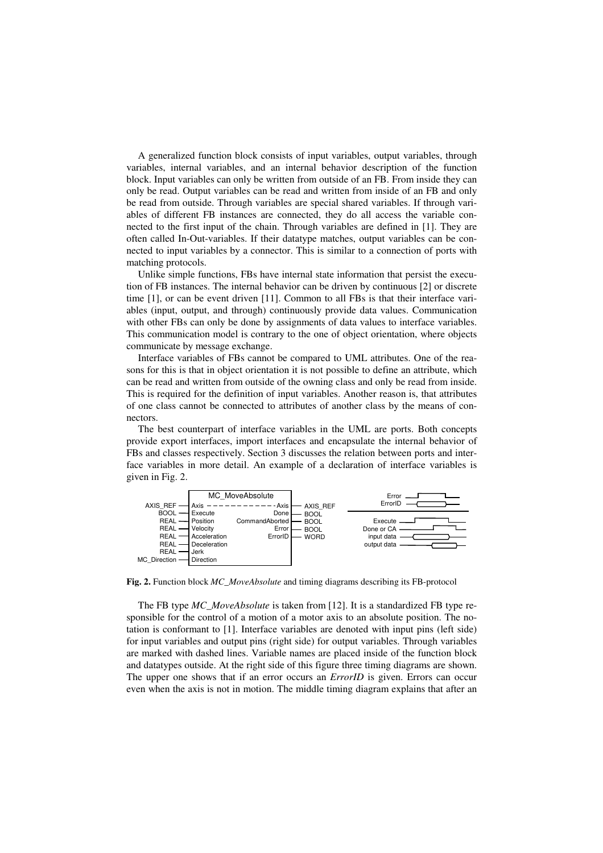A generalized function block consists of input variables, output variables, through variables, internal variables, and an internal behavior description of the function block. Input variables can only be written from outside of an FB. From inside they can only be read. Output variables can be read and written from inside of an FB and only be read from outside. Through variables are special shared variables. If through variables of different FB instances are connected, they do all access the variable connected to the first input of the chain. Through variables are defined in [1]. They are often called In-Out-variables. If their datatype matches, output variables can be connected to input variables by a connector. This is similar to a connection of ports with matching protocols.

Unlike simple functions, FBs have internal state information that persist the execution of FB instances. The internal behavior can be driven by continuous [2] or discrete time [1], or can be event driven [11]. Common to all FBs is that their interface variables (input, output, and through) continuously provide data values. Communication with other FBs can only be done by assignments of data values to interface variables. This communication model is contrary to the one of object orientation, where objects communicate by message exchange.

Interface variables of FBs cannot be compared to UML attributes. One of the reasons for this is that in object orientation it is not possible to define an attribute, which can be read and written from outside of the owning class and only be read from inside. This is required for the definition of input variables. Another reason is, that attributes of one class cannot be connected to attributes of another class by the means of connectors.

The best counterpart of interface variables in the UML are ports. Both concepts provide export interfaces, import interfaces and encapsulate the internal behavior of FBs and classes respectively. Section 3 discusses the relation between ports and interface variables in more detail. An example of a declaration of interface variables is given in Fig. 2.



**Fig. 2.** Function block *MC\_MoveAbsolute* and timing diagrams describing its FB-protocol

The FB type *MC\_MoveAbsolute* is taken from [12]. It is a standardized FB type responsible for the control of a motion of a motor axis to an absolute position. The notation is conformant to [1]. Interface variables are denoted with input pins (left side) for input variables and output pins (right side) for output variables. Through variables are marked with dashed lines. Variable names are placed inside of the function block and datatypes outside. At the right side of this figure three timing diagrams are shown. The upper one shows that if an error occurs an *ErrorID* is given. Errors can occur even when the axis is not in motion. The middle timing diagram explains that after an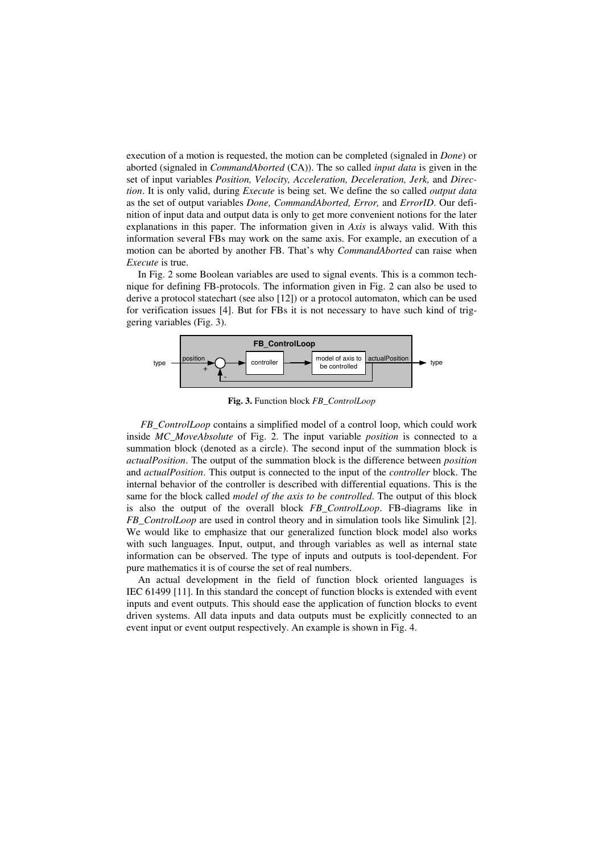execution of a motion is requested, the motion can be completed (signaled in *Done*) or aborted (signaled in *CommandAborted* (CA)). The so called *input data* is given in the set of input variables *Position, Velocity, Acceleration, Deceleration, Jerk,* and *Direction*. It is only valid, during *Execute* is being set. We define the so called *output data* as the set of output variables *Done, CommandAborted, Error,* and *ErrorID*. Our definition of input data and output data is only to get more convenient notions for the later explanations in this paper. The information given in *Axis* is always valid. With this information several FBs may work on the same axis. For example, an execution of a motion can be aborted by another FB. That's why *CommandAborted* can raise when *Execute* is true.

In Fig. 2 some Boolean variables are used to signal events. This is a common technique for defining FB-protocols. The information given in Fig. 2 can also be used to derive a protocol statechart (see also [12]) or a protocol automaton, which can be used for verification issues [4]. But for FBs it is not necessary to have such kind of triggering variables (Fig. 3).



**Fig. 3.** Function block *FB\_ControlLoop*

*FB\_ControlLoop* contains a simplified model of a control loop, which could work inside *MC\_MoveAbsolute* of Fig. 2. The input variable *position* is connected to a summation block (denoted as a circle). The second input of the summation block is *actualPosition*. The output of the summation block is the difference between *position* and *actualPosition*. This output is connected to the input of the *controller* block. The internal behavior of the controller is described with differential equations. This is the same for the block called *model of the axis to be controlled*. The output of this block is also the output of the overall block *FB\_ControlLoop*. FB-diagrams like in *FB\_ControlLoop* are used in control theory and in simulation tools like Simulink [2]. We would like to emphasize that our generalized function block model also works with such languages. Input, output, and through variables as well as internal state information can be observed. The type of inputs and outputs is tool-dependent. For pure mathematics it is of course the set of real numbers.

An actual development in the field of function block oriented languages is IEC 61499 [11]. In this standard the concept of function blocks is extended with event inputs and event outputs. This should ease the application of function blocks to event driven systems. All data inputs and data outputs must be explicitly connected to an event input or event output respectively. An example is shown in Fig. 4.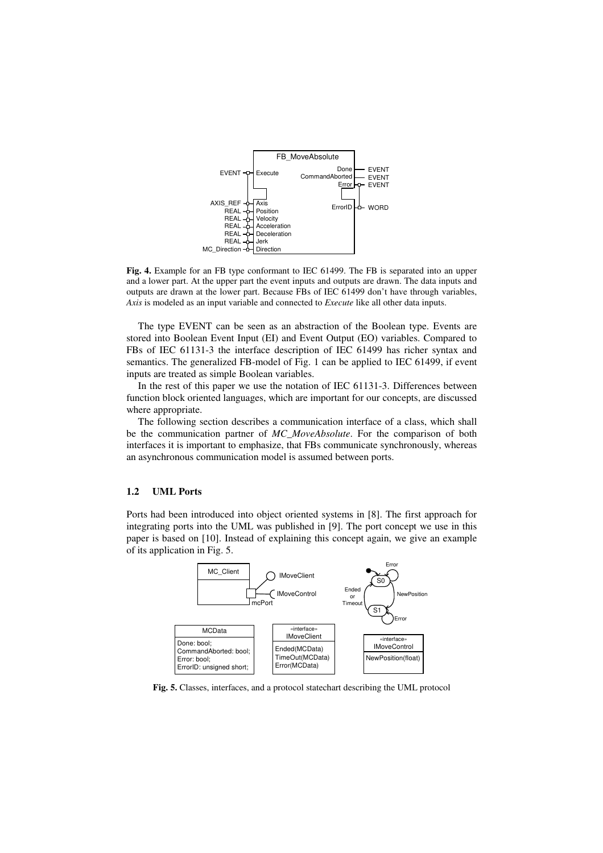

**Fig. 4.** Example for an FB type conformant to IEC 61499. The FB is separated into an upper and a lower part. At the upper part the event inputs and outputs are drawn. The data inputs and outputs are drawn at the lower part. Because FBs of IEC 61499 don't have through variables, *Axis* is modeled as an input variable and connected to *Execute* like all other data inputs.

The type EVENT can be seen as an abstraction of the Boolean type. Events are stored into Boolean Event Input (EI) and Event Output (EO) variables. Compared to FBs of IEC 61131-3 the interface description of IEC 61499 has richer syntax and semantics. The generalized FB-model of Fig. 1 can be applied to IEC 61499, if event inputs are treated as simple Boolean variables.

In the rest of this paper we use the notation of IEC 61131-3. Differences between function block oriented languages, which are important for our concepts, are discussed where appropriate.

The following section describes a communication interface of a class, which shall be the communication partner of *MC\_MoveAbsolute*. For the comparison of both interfaces it is important to emphasize, that FBs communicate synchronously, whereas an asynchronous communication model is assumed between ports.

#### **1.2 UML Ports**

Ports had been introduced into object oriented systems in [8]. The first approach for integrating ports into the UML was published in [9]. The port concept we use in this paper is based on [10]. Instead of explaining this concept again, we give an example of its application in Fig. 5.



**Fig. 5.** Classes, interfaces, and a protocol statechart describing the UML protocol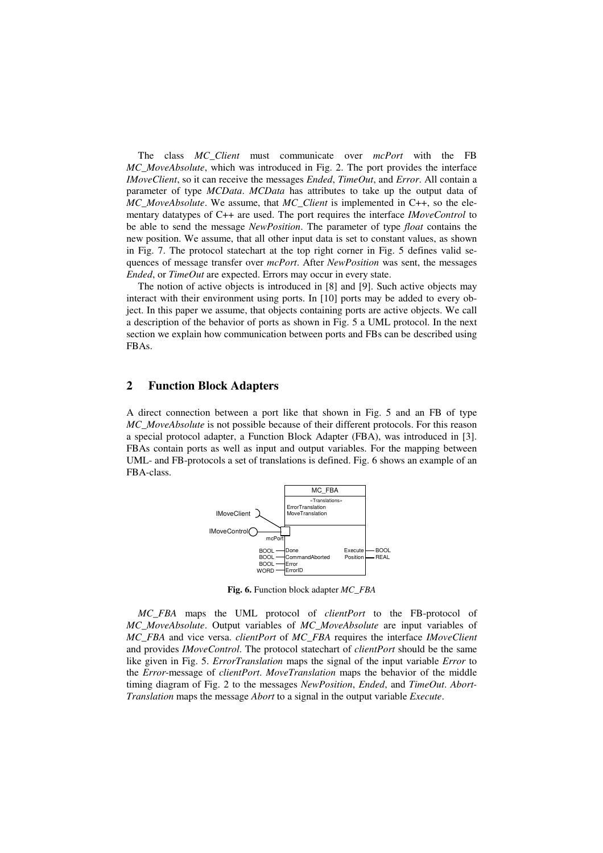The class *MC\_Client* must communicate over *mcPort* with the FB *MC\_MoveAbsolute*, which was introduced in Fig. 2. The port provides the interface *IMoveClient*, so it can receive the messages *Ended*, *TimeOut*, and *Error*. All contain a parameter of type *MCData*. *MCData* has attributes to take up the output data of *MC\_MoveAbsolute*. We assume, that *MC\_Client* is implemented in C++, so the elementary datatypes of C++ are used. The port requires the interface *IMoveControl* to be able to send the message *NewPosition*. The parameter of type *float* contains the new position. We assume, that all other input data is set to constant values, as shown in Fig. 7. The protocol statechart at the top right corner in Fig. 5 defines valid sequences of message transfer over *mcPort*. After *NewPosition* was sent, the messages *Ended*, or *TimeOut* are expected. Errors may occur in every state.

The notion of active objects is introduced in [8] and [9]. Such active objects may interact with their environment using ports. In [10] ports may be added to every object. In this paper we assume, that objects containing ports are active objects. We call a description of the behavior of ports as shown in Fig. 5 a UML protocol. In the next section we explain how communication between ports and FBs can be described using FBAs.

#### **2 Function Block Adapters**

A direct connection between a port like that shown in Fig. 5 and an FB of type *MC\_MoveAbsolute* is not possible because of their different protocols. For this reason a special protocol adapter, a Function Block Adapter (FBA), was introduced in [3]. FBAs contain ports as well as input and output variables. For the mapping between UML- and FB-protocols a set of translations is defined. Fig. 6 shows an example of an FBA-class.



**Fig. 6.** Function block adapter *MC\_FBA*

*MC\_FBA* maps the UML protocol of *clientPort* to the FB-protocol of *MC\_MoveAbsolute*. Output variables of *MC\_MoveAbsolute* are input variables of *MC\_FBA* and vice versa. *clientPort* of *MC\_FBA* requires the interface *IMoveClient* and provides *IMoveControl*. The protocol statechart of *clientPort* should be the same like given in Fig. 5. *ErrorTranslation* maps the signal of the input variable *Error* to the *Error*-message of *clientPort*. *MoveTranslation* maps the behavior of the middle timing diagram of Fig. 2 to the messages *NewPosition*, *Ended*, and *TimeOut*. *Abort-Translation* maps the message *Abort* to a signal in the output variable *Execute*.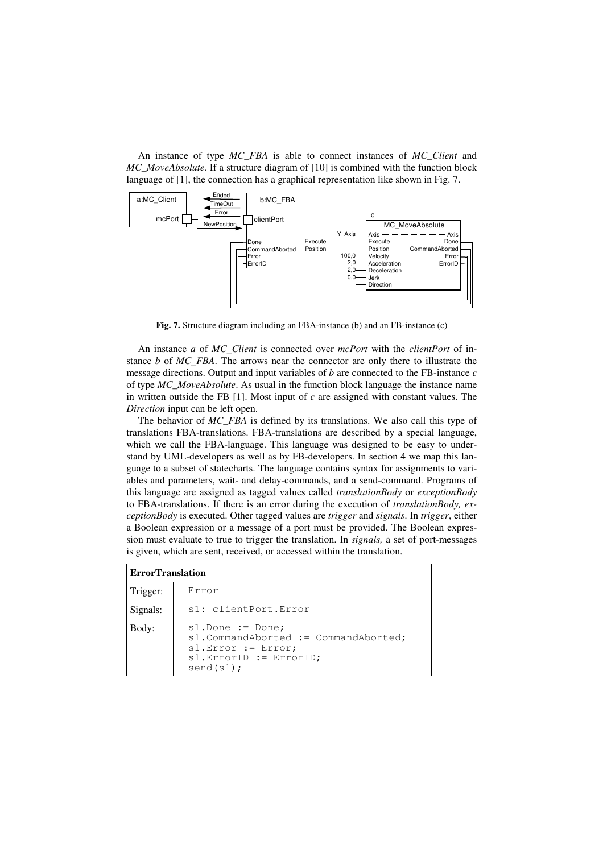An instance of type *MC\_FBA* is able to connect instances of *MC\_Client* and *MC\_MoveAbsolute*. If a structure diagram of [10] is combined with the function block language of [1], the connection has a graphical representation like shown in Fig. 7.



**Fig. 7.** Structure diagram including an FBA-instance (b) and an FB-instance (c)

An instance *a* of *MC\_Client* is connected over *mcPort* with the *clientPort* of instance *b* of *MC\_FBA*. The arrows near the connector are only there to illustrate the message directions. Output and input variables of *b* are connected to the FB-instance *c* of type *MC\_MoveAbsolute*. As usual in the function block language the instance name in written outside the FB [1]. Most input of *c* are assigned with constant values. The *Direction* input can be left open.

The behavior of *MC\_FBA* is defined by its translations. We also call this type of translations FBA-translations. FBA-translations are described by a special language, which we call the FBA-language. This language was designed to be easy to understand by UML-developers as well as by FB-developers. In section 4 we map this language to a subset of statecharts. The language contains syntax for assignments to variables and parameters, wait- and delay-commands, and a send-command. Programs of this language are assigned as tagged values called *translationBody* or *exceptionBody* to FBA-translations. If there is an error during the execution of *translationBody, exceptionBody* is executed. Other tagged values are *trigger* and *signals*. In *trigger*, either a Boolean expression or a message of a port must be provided. The Boolean expression must evaluate to true to trigger the translation. In *signals,* a set of port-messages is given, which are sent, received, or accessed within the translation.

| <b>ErrorTranslation</b> |                                                                                                                              |  |
|-------------------------|------------------------------------------------------------------------------------------------------------------------------|--|
| Trigger:                | Error                                                                                                                        |  |
| Signals:                | s1: clientPort.Error                                                                                                         |  |
| Body:                   | $sl.Done := Donej$<br>s1. CommandAborted := CommandAborted;<br>$sl.Frror := Error;$<br>$s1.FrrorID := ErrorID;$<br>send(s1); |  |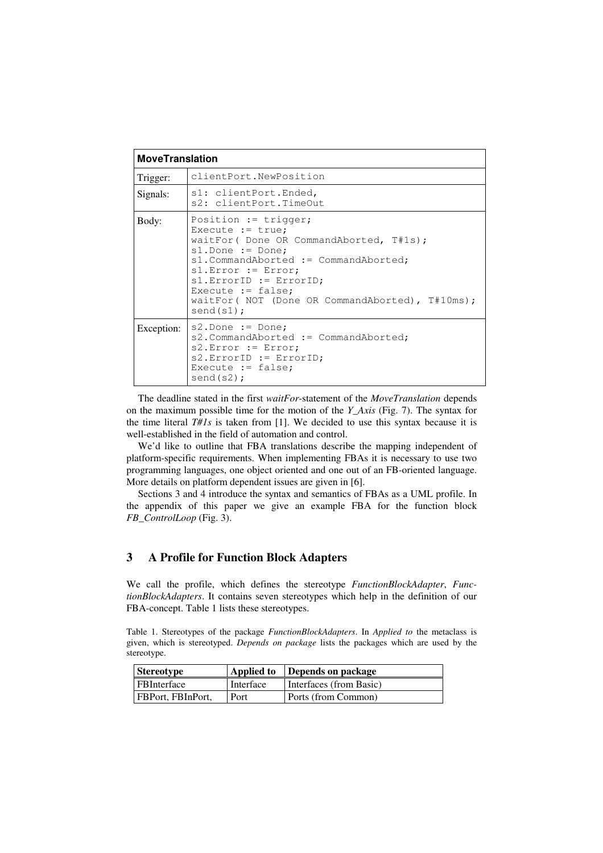| <b>MoveTranslation</b> |                                                                                                                                                                                                                                                                                               |  |
|------------------------|-----------------------------------------------------------------------------------------------------------------------------------------------------------------------------------------------------------------------------------------------------------------------------------------------|--|
| Trigger:               | clientPort.NewPosition                                                                                                                                                                                                                                                                        |  |
| Signals:               | sl: clientPort.Ended,<br>s2: clientPort.TimeOut                                                                                                                                                                                                                                               |  |
| Body:                  | Position := trigger;<br>Execute $:=$ true;<br>waitFor( Done OR CommandAborted, T#1s);<br>$sl.Done := Don$<br>s1. CommandAborted := CommandAborted;<br>$sl.Frror := Error;$<br>$sl.FrrorID := ErrorID;$<br>Execute := $false;$<br>waitFor( NOT (Done OR CommandAborted), T#10ms);<br>send(s1); |  |
| Exception:             | $s2.Done := Don$<br>s2. CommandAborted := CommandAborted;<br>$s2.Frror := Error;$<br>$s2.FrrorID := ErrorID;$<br>Execute := $false$ ;<br>send(s2);                                                                                                                                            |  |

The deadline stated in the first *waitFor*-statement of the *MoveTranslation* depends on the maximum possible time for the motion of the *Y\_Axis* (Fig. 7). The syntax for the time literal *T#1s* is taken from [1]. We decided to use this syntax because it is well-established in the field of automation and control.

We'd like to outline that FBA translations describe the mapping independent of platform-specific requirements. When implementing FBAs it is necessary to use two programming languages, one object oriented and one out of an FB-oriented language. More details on platform dependent issues are given in [6].

Sections 3 and 4 introduce the syntax and semantics of FBAs as a UML profile. In the appendix of this paper we give an example FBA for the function block *FB\_ControlLoop* (Fig. 3).

# **3 A Profile for Function Block Adapters**

We call the profile, which defines the stereotype *FunctionBlockAdapter*, *FunctionBlockAdapters*. It contains seven stereotypes which help in the definition of our FBA-concept. Table 1 lists these stereotypes.

Table 1. Stereotypes of the package *FunctionBlockAdapters*. In *Applied to* the metaclass is given, which is stereotyped. *Depends on package* lists the packages which are used by the stereotype.

| <b>Stereotype</b>  | Applied to | Depends on package      |
|--------------------|------------|-------------------------|
| <b>FBInterface</b> | Interface  | Interfaces (from Basic) |
| FBPort. FBInPort.  | Port       | Ports (from Common)     |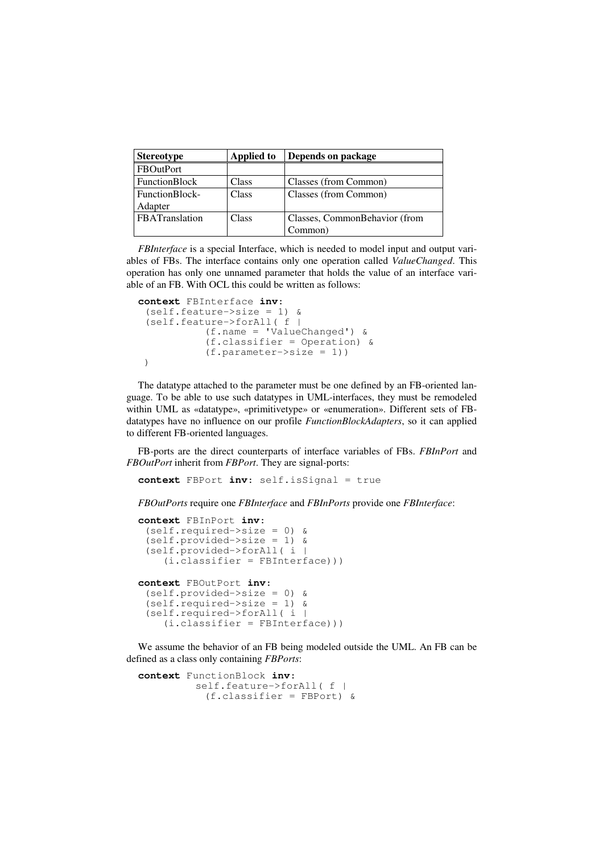| <b>Stereotype</b> | Applied to | Depends on package            |
|-------------------|------------|-------------------------------|
| <b>FBOutPort</b>  |            |                               |
| FunctionBlock     | Class      | Classes (from Common)         |
| FunctionBlock-    | Class      | Classes (from Common)         |
| Adapter           |            |                               |
| FBATranslation    | Class      | Classes, CommonBehavior (from |
|                   |            | Common)                       |

*FBInterface* is a special Interface, which is needed to model input and output variables of FBs. The interface contains only one operation called *ValueChanged*. This operation has only one unnamed parameter that holds the value of an interface variable of an FB. With OCL this could be written as follows:

```
context FBInterface inv:
 (self.feature->size = 1) &
 (self.feature->forAll( f |
            (f.name = 'ValueChanged') &
            (f.classifier = Operation) &
            (f.parenter \rightarrow size = 1))
 )
```
The datatype attached to the parameter must be one defined by an FB-oriented language. To be able to use such datatypes in UML-interfaces, they must be remodeled within UML as «datatype», «primitivetype» or «enumeration». Different sets of FBdatatypes have no influence on our profile *FunctionBlockAdapters*, so it can applied to different FB-oriented languages.

FB-ports are the direct counterparts of interface variables of FBs. *FBInPort* and *FBOutPort* inherit from *FBPort*. They are signal-ports:

**context** FBPort **inv**: self.isSignal = true

*FBOutPorts* require one *FBInterface* and *FBInPorts* provide one *FBInterface*:

```
context FBInPort inv:
 (self.required->size = 0) &
 (self.provided->size = 1) &
 (self.provided->forAll( i |
    (i.Classifier = FBInterface))context FBOutPort inv:
 (self.provided->size = 0) &
 (self.required->size = 1) &
 (self.required->forAll( i |
    (i.classifier = FBInterface))
```
We assume the behavior of an FB being modeled outside the UML. An FB can be defined as a class only containing *FBPorts*:

```
context FunctionBlock inv:
         self.feature->forAll( f |
           (f.classifier = FBPort) &
```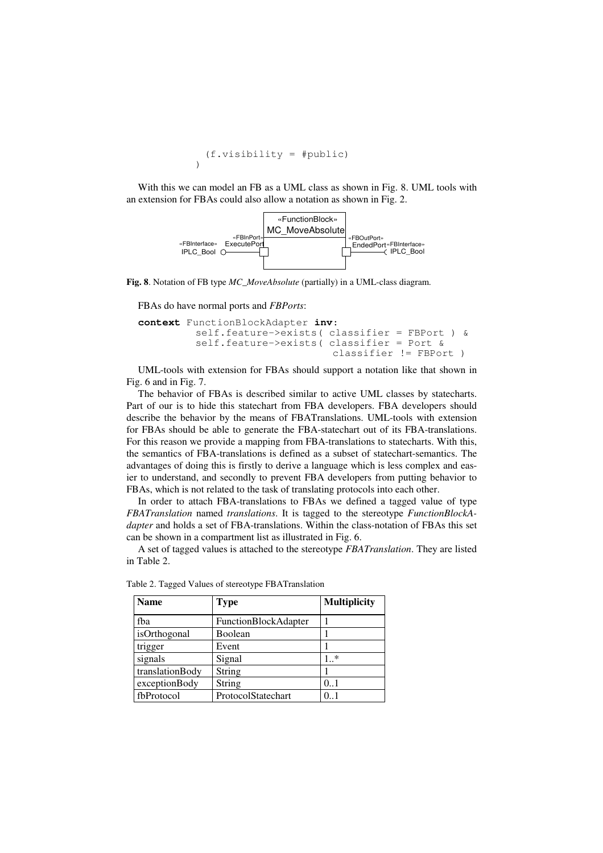```
(f.visibility = #public)
```
With this we can model an FB as a UML class as shown in Fig. 8. UML tools with an extension for FBAs could also allow a notation as shown in Fig. 2.





FBAs do have normal ports and *FBPorts*:

 $\lambda$ 

```
context FunctionBlockAdapter inv:
         self.feature->exists( classifier = FBPort ) &
         self.feature->exists( classifier = Port &
                                classifier != FBPort )
```
UML-tools with extension for FBAs should support a notation like that shown in Fig. 6 and in Fig. 7.

The behavior of FBAs is described similar to active UML classes by statecharts. Part of our is to hide this statechart from FBA developers. FBA developers should describe the behavior by the means of FBATranslations. UML-tools with extension for FBAs should be able to generate the FBA-statechart out of its FBA-translations. For this reason we provide a mapping from FBA-translations to statecharts. With this, the semantics of FBA-translations is defined as a subset of statechart-semantics. The advantages of doing this is firstly to derive a language which is less complex and easier to understand, and secondly to prevent FBA developers from putting behavior to FBAs, which is not related to the task of translating protocols into each other.

In order to attach FBA-translations to FBAs we defined a tagged value of type *FBATranslation* named *translations*. It is tagged to the stereotype *FunctionBlockAdapter* and holds a set of FBA-translations. Within the class-notation of FBAs this set can be shown in a compartment list as illustrated in Fig. 6.

A set of tagged values is attached to the stereotype *FBATranslation*. They are listed in Table 2.

| <b>Name</b>     | <b>Type</b>          | <b>Multiplicity</b> |
|-----------------|----------------------|---------------------|
| fba             | FunctionBlockAdapter |                     |
| isOrthogonal    | Boolean              |                     |
| trigger         | Event                |                     |
| signals         | Signal               | 1 *                 |
| translationBody | String               |                     |
| exceptionBody   | String               | 0.1                 |
| fbProtocol      | ProtocolStatechart   | 0.1                 |

Table 2. Tagged Values of stereotype FBATranslation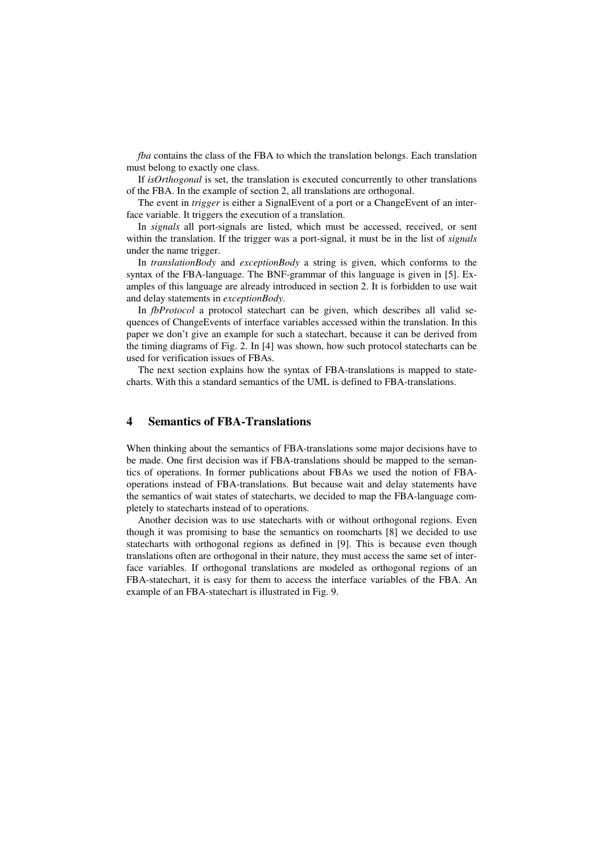*fba* contains the class of the FBA to which the translation belongs. Each translation must belong to exactly one class.

If *isOrthogonal* is set, the translation is executed concurrently to other translations of the FBA. In the example of section 2, all translations are orthogonal.

The event in *trigger* is either a SignalEvent of a port or a ChangeEvent of an interface variable. It triggers the execution of a translation.

In *signals* all port-signals are listed, which must be accessed, received, or sent within the translation. If the trigger was a port-signal, it must be in the list of *signals* under the name trigger.

In *translationBody* and *exceptionBody* a string is given, which conforms to the syntax of the FBA-language. The BNF-grammar of this language is given in [5]. Examples of this language are already introduced in section 2. It is forbidden to use wait and delay statements in *exceptionBody*.

In *fbProtocol* a protocol statechart can be given, which describes all valid sequences of ChangeEvents of interface variables accessed within the translation. In this paper we don't give an example for such a statechart, because it can be derived from the timing diagrams of Fig. 2. In [4] was shown, how such protocol statecharts can be used for verification issues of FBAs.

The next section explains how the syntax of FBA-translations is mapped to statecharts. With this a standard semantics of the UML is defined to FBA-translations.

#### **4 Semantics of FBA-Translations**

When thinking about the semantics of FBA-translations some major decisions have to be made. One first decision was if FBA-translations should be mapped to the semantics of operations. In former publications about FBAs we used the notion of FBAoperations instead of FBA-translations. But because wait and delay statements have the semantics of wait states of statecharts, we decided to map the FBA-language completely to statecharts instead of to operations.

Another decision was to use statecharts with or without orthogonal regions. Even though it was promising to base the semantics on roomcharts [8] we decided to use statecharts with orthogonal regions as defined in [9]. This is because even though translations often are orthogonal in their nature, they must access the same set of interface variables. If orthogonal translations are modeled as orthogonal regions of an FBA-statechart, it is easy for them to access the interface variables of the FBA. An example of an FBA-statechart is illustrated in Fig. 9.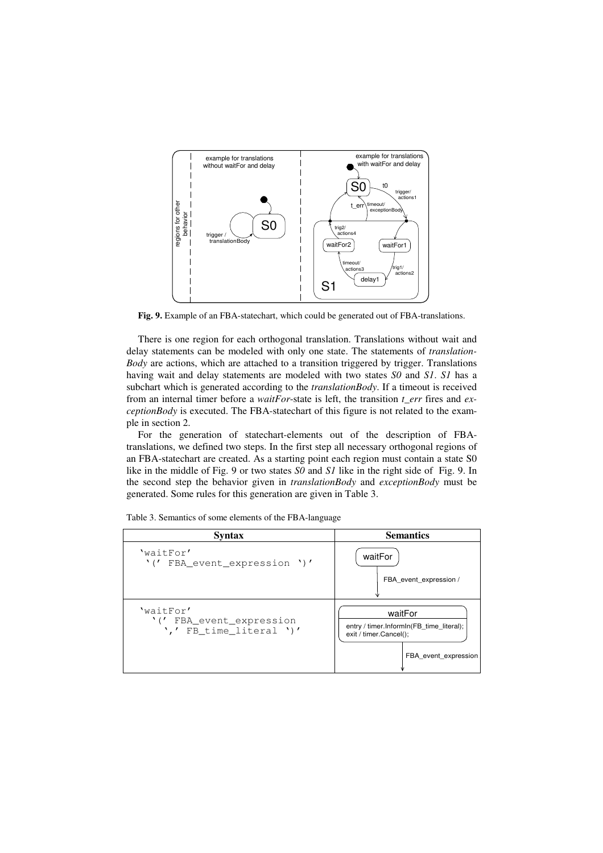

**Fig. 9.** Example of an FBA-statechart, which could be generated out of FBA-translations.

There is one region for each orthogonal translation. Translations without wait and delay statements can be modeled with only one state. The statements of *translation-Body* are actions, which are attached to a transition triggered by trigger. Translations having wait and delay statements are modeled with two states *S0* and *S1*. *S1* has a subchart which is generated according to the *translationBody*. If a timeout is received from an internal timer before a *waitFor*-state is left, the transition *t\_err* fires and *exceptionBody* is executed. The FBA-statechart of this figure is not related to the example in section 2.

For the generation of statechart-elements out of the description of FBAtranslations, we defined two steps. In the first step all necessary orthogonal regions of an FBA-statechart are created. As a starting point each region must contain a state S0 like in the middle of Fig. 9 or two states *S0* and *S1* like in the right side of Fig. 9. In the second step the behavior given in *translationBody* and *exceptionBody* must be generated. Some rules for this generation are given in Table 3.

| <b>Syntax</b>                                                    | <b>Semantics</b>                                                                                      |
|------------------------------------------------------------------|-------------------------------------------------------------------------------------------------------|
| 'waitFor'<br>'(' FBA_event_expression ')'                        | waitFor                                                                                               |
|                                                                  | FBA event expression /                                                                                |
| 'waitFor'<br>'(' FBA_event_expression<br>',' FB_time_literal ')' | waitFor<br>entry / timer.InformIn(FB time literal);<br>exit / timer.Cancel();<br>FBA event expression |

Table 3. Semantics of some elements of the FBA-language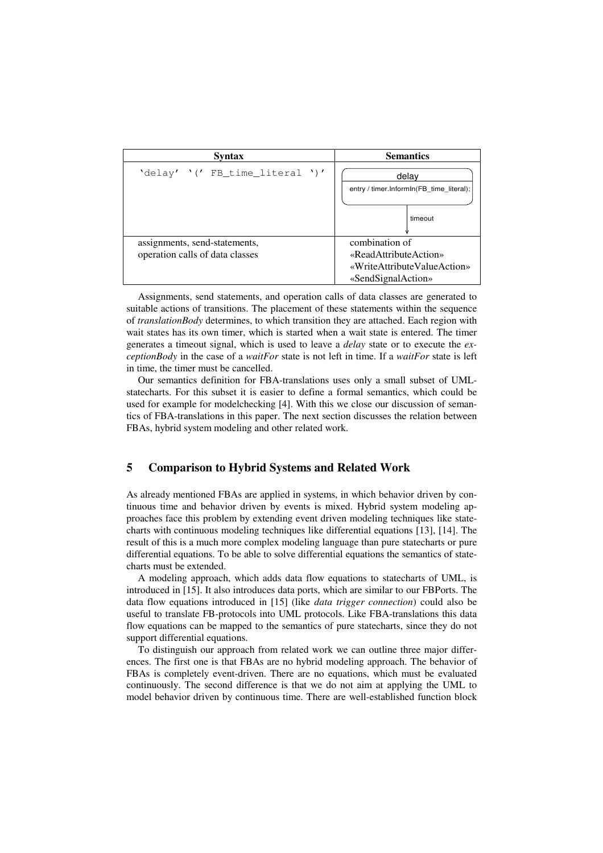| <b>Syntax</b>                                                    | <b>Semantics</b>                                                                             |
|------------------------------------------------------------------|----------------------------------------------------------------------------------------------|
| 'delay' '(' FB_time_literal ')'                                  | delay<br>entry / timer.InformIn(FB time literal);<br>timeout                                 |
| assignments, send-statements,<br>operation calls of data classes | combination of<br>«ReadAttributeAction»<br>«WriteAttributeValueAction»<br>«SendSignalAction» |

Assignments, send statements, and operation calls of data classes are generated to suitable actions of transitions. The placement of these statements within the sequence of *translationBody* determines, to which transition they are attached. Each region with wait states has its own timer, which is started when a wait state is entered. The timer generates a timeout signal, which is used to leave a *delay* state or to execute the *exceptionBody* in the case of a *waitFor* state is not left in time. If a *waitFor* state is left in time, the timer must be cancelled.

Our semantics definition for FBA-translations uses only a small subset of UMLstatecharts. For this subset it is easier to define a formal semantics, which could be used for example for modelchecking [4]. With this we close our discussion of semantics of FBA-translations in this paper. The next section discusses the relation between FBAs, hybrid system modeling and other related work.

# **5 Comparison to Hybrid Systems and Related Work**

As already mentioned FBAs are applied in systems, in which behavior driven by continuous time and behavior driven by events is mixed. Hybrid system modeling approaches face this problem by extending event driven modeling techniques like statecharts with continuous modeling techniques like differential equations [13], [14]. The result of this is a much more complex modeling language than pure statecharts or pure differential equations. To be able to solve differential equations the semantics of statecharts must be extended.

A modeling approach, which adds data flow equations to statecharts of UML, is introduced in [15]. It also introduces data ports, which are similar to our FBPorts. The data flow equations introduced in [15] (like *data trigger connection*) could also be useful to translate FB-protocols into UML protocols. Like FBA-translations this data flow equations can be mapped to the semantics of pure statecharts, since they do not support differential equations.

To distinguish our approach from related work we can outline three major differences. The first one is that FBAs are no hybrid modeling approach. The behavior of FBAs is completely event-driven. There are no equations, which must be evaluated continuously. The second difference is that we do not aim at applying the UML to model behavior driven by continuous time. There are well-established function block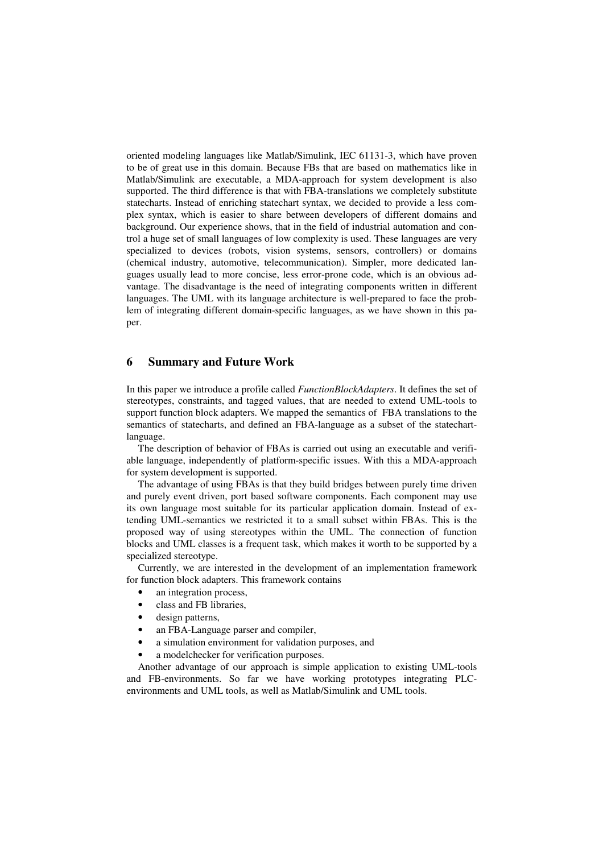oriented modeling languages like Matlab/Simulink, IEC 61131-3, which have proven to be of great use in this domain. Because FBs that are based on mathematics like in Matlab/Simulink are executable, a MDA-approach for system development is also supported. The third difference is that with FBA-translations we completely substitute statecharts. Instead of enriching statechart syntax, we decided to provide a less complex syntax, which is easier to share between developers of different domains and background. Our experience shows, that in the field of industrial automation and control a huge set of small languages of low complexity is used. These languages are very specialized to devices (robots, vision systems, sensors, controllers) or domains (chemical industry, automotive, telecommunication). Simpler, more dedicated languages usually lead to more concise, less error-prone code, which is an obvious advantage. The disadvantage is the need of integrating components written in different languages. The UML with its language architecture is well-prepared to face the problem of integrating different domain-specific languages, as we have shown in this paper.

#### **6 Summary and Future Work**

In this paper we introduce a profile called *FunctionBlockAdapters*. It defines the set of stereotypes, constraints, and tagged values, that are needed to extend UML-tools to support function block adapters. We mapped the semantics of FBA translations to the semantics of statecharts, and defined an FBA-language as a subset of the statechartlanguage.

The description of behavior of FBAs is carried out using an executable and verifiable language, independently of platform-specific issues. With this a MDA-approach for system development is supported.

The advantage of using FBAs is that they build bridges between purely time driven and purely event driven, port based software components. Each component may use its own language most suitable for its particular application domain. Instead of extending UML-semantics we restricted it to a small subset within FBAs. This is the proposed way of using stereotypes within the UML. The connection of function blocks and UML classes is a frequent task, which makes it worth to be supported by a specialized stereotype.

Currently, we are interested in the development of an implementation framework for function block adapters. This framework contains

- an integration process,
- class and FB libraries,
- design patterns,
- an FBA-Language parser and compiler,
- a simulation environment for validation purposes, and
- a modelchecker for verification purposes.

Another advantage of our approach is simple application to existing UML-tools and FB-environments. So far we have working prototypes integrating PLCenvironments and UML tools, as well as Matlab/Simulink and UML tools.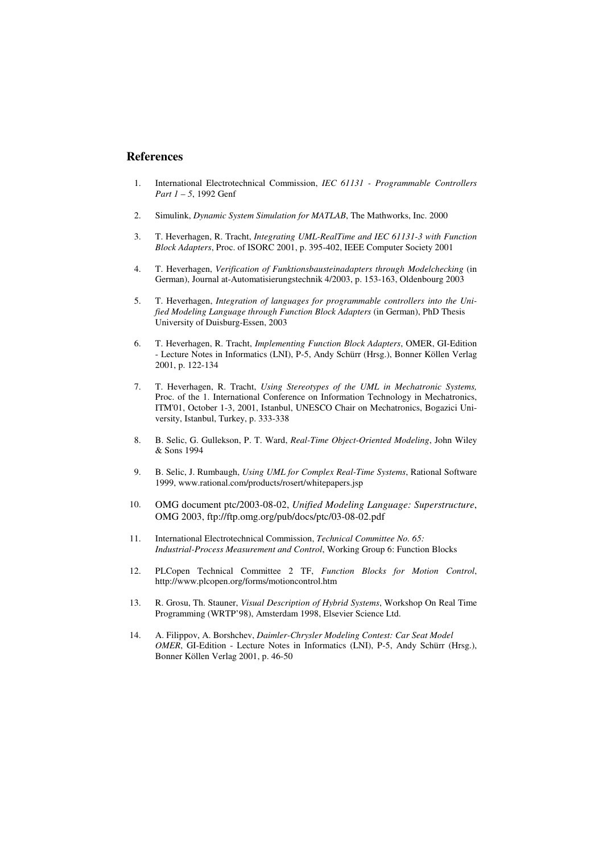#### **References**

- 1. International Electrotechnical Commission, *IEC 61131 - Programmable Controllers Part 1 – 5*, 1992 Genf
- 2. Simulink, *Dynamic System Simulation for MATLAB*, The Mathworks, Inc. 2000
- 3. T. Heverhagen, R. Tracht, *Integrating UML-RealTime and IEC 61131-3 with Function Block Adapters*, Proc. of ISORC 2001, p. 395-402, IEEE Computer Society 2001
- 4. T. Heverhagen, *Verification of Funktionsbausteinadapters through Modelchecking* (in German), Journal at-Automatisierungstechnik 4/2003, p. 153-163, Oldenbourg 2003
- 5. T. Heverhagen, *Integration of languages for programmable controllers into the Unified Modeling Language through Function Block Adapters* (in German), PhD Thesis University of Duisburg-Essen, 2003
- 6. T. Heverhagen, R. Tracht, *Implementing Function Block Adapters*, OMER, GI-Edition - Lecture Notes in Informatics (LNI), P-5, Andy Schürr (Hrsg.), Bonner Köllen Verlag 2001, p. 122-134
- 7. T. Heverhagen, R. Tracht, *Using Stereotypes of the UML in Mechatronic Systems,* Proc. of the 1. International Conference on Information Technology in Mechatronics, ITM'01, October 1-3, 2001, Istanbul, UNESCO Chair on Mechatronics, Bogazici University, Istanbul, Turkey, p. 333-338
- 8. B. Selic, G. Gullekson, P. T. Ward, *Real-Time Object-Oriented Modeling*, John Wiley & Sons 1994
- 9. B. Selic, J. Rumbaugh, *Using UML for Complex Real-Time Systems*, Rational Software 1999, www.rational.com/products/rosert/whitepapers.jsp
- 10. OMG document ptc/2003-08-02, *Unified Modeling Language: Superstructure*, OMG 2003, ftp://ftp.omg.org/pub/docs/ptc/03-08-02.pdf
- 11. International Electrotechnical Commission, *Technical Committee No. 65: Industrial-Process Measurement and Control*, Working Group 6: Function Blocks
- 12. PLCopen Technical Committee 2 TF, *Function Blocks for Motion Control*, http://www.plcopen.org/forms/motioncontrol.htm
- 13. R. Grosu, Th. Stauner, *Visual Description of Hybrid Systems*, Workshop On Real Time Programming (WRTP'98), Amsterdam 1998, Elsevier Science Ltd.
- 14. A. Filippov, A. Borshchev, *Daimler-Chrysler Modeling Contest: Car Seat Model OMER*, GI-Edition - Lecture Notes in Informatics (LNI), P-5, Andy Schürr (Hrsg.), Bonner Köllen Verlag 2001, p. 46-50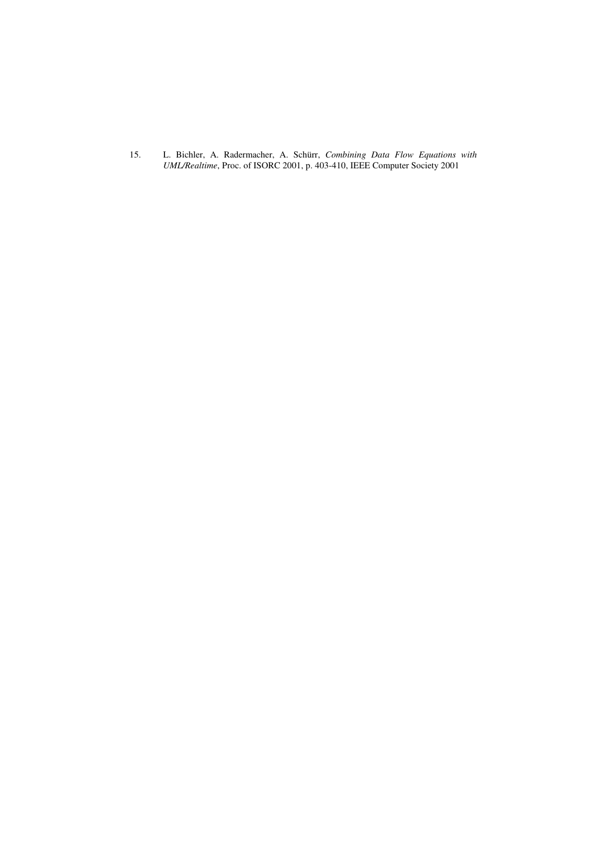15. L. Bichler, A. Radermacher, A. Schürr, *Combining Data Flow Equations with UML/Realtime*, Proc. of ISORC 2001, p. 403-410, IEEE Computer Society 2001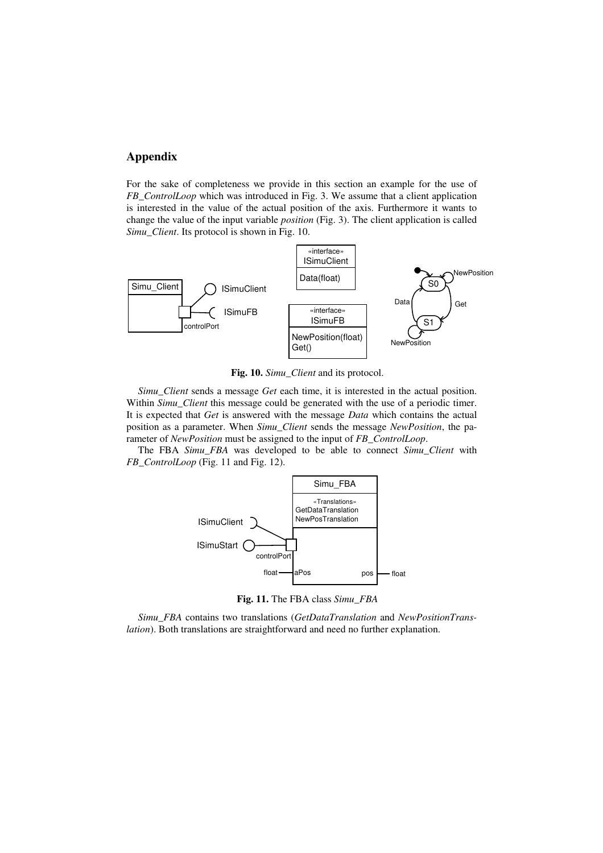#### **Appendix**

For the sake of completeness we provide in this section an example for the use of *FB\_ControlLoop* which was introduced in Fig. 3. We assume that a client application is interested in the value of the actual position of the axis. Furthermore it wants to change the value of the input variable *position* (Fig. 3). The client application is called *Simu\_Client*. Its protocol is shown in Fig. 10.



**Fig. 10.** *Simu\_Client* and its protocol.

*Simu\_Client* sends a message *Get* each time, it is interested in the actual position. Within *Simu\_Client* this message could be generated with the use of a periodic timer. It is expected that *Get* is answered with the message *Data* which contains the actual position as a parameter. When *Simu\_Client* sends the message *NewPosition*, the parameter of *NewPosition* must be assigned to the input of *FB\_ControlLoop*.

The FBA *Simu\_FBA* was developed to be able to connect *Simu\_Client* with *FB\_ControlLoop* (Fig. 11 and Fig. 12).



**Fig. 11.** The FBA class *Simu\_FBA*

*Simu\_FBA* contains two translations (*GetDataTranslation* and *NewPositionTranslation*). Both translations are straightforward and need no further explanation.